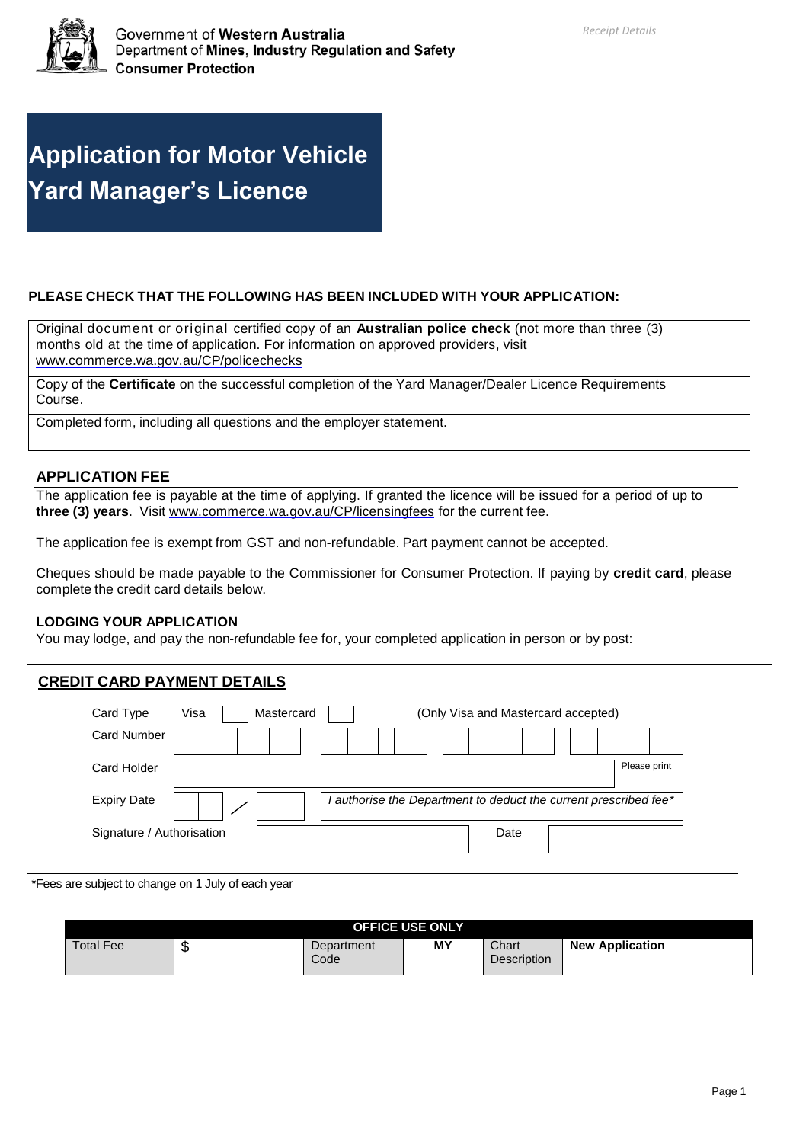

# **Application for Motor Vehicle Yard Manager's Licence**

# **PLEASE CHECK THAT THE FOLLOWING HAS BEEN INCLUDED WITH YOUR APPLICATION:**

| Original document or original certified copy of an <b>Australian police check</b> (not more than three (3)<br>months old at the time of application. For information on approved providers, visit<br>www.commerce.wa.gov.au/CP/policechecks |  |
|---------------------------------------------------------------------------------------------------------------------------------------------------------------------------------------------------------------------------------------------|--|
| Copy of the Certificate on the successful completion of the Yard Manager/Dealer Licence Requirements<br>Course.                                                                                                                             |  |
| Completed form, including all questions and the employer statement.                                                                                                                                                                         |  |

# **APPLICATION FEE**

The application fee is payable at the time of applying. If granted the licence will be issued for a period of up to **three (3) years**. Visit [www.commerce.wa.gov.au/CP/licensingfees](http://www.commerce.wa.gov.au/CP/licensingfees) for the current fee.

The application fee is exempt from GST and non-refundable. Part payment cannot be accepted.

Cheques should be made payable to the Commissioner for Consumer Protection. If paying by **credit card**, please complete the credit card details below.

### **LODGING YOUR APPLICATION**

You may lodge, and pay the non-refundable fee for, your completed application in person or by post:

# **CREDIT CARD PAYMENT DETAILS**

| Card Type                 | Visa<br>Mastercard<br>(Only Visa and Mastercard accepted)      |              |
|---------------------------|----------------------------------------------------------------|--------------|
| <b>Card Number</b>        |                                                                |              |
| Card Holder               |                                                                | Please print |
| <b>Expiry Date</b>        | authorise the Department to deduct the current prescribed fee* |              |
| Signature / Authorisation | Date                                                           |              |

\*Fees are subject to change on 1 July of each year

|                  |   |                    | <b>OFFICE USE ONLY</b> |                      |                        |
|------------------|---|--------------------|------------------------|----------------------|------------------------|
| <b>Total Fee</b> | w | Department<br>Code | MΥ                     | Chart<br>Description | <b>New Application</b> |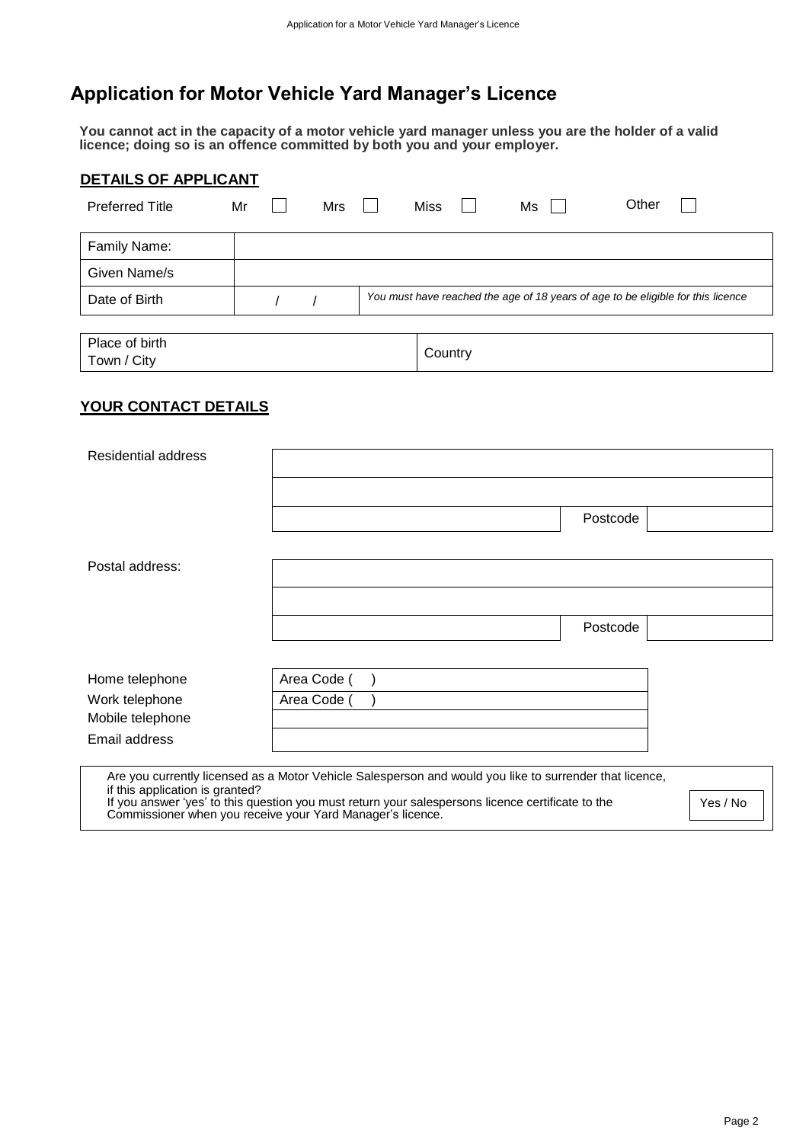# **Application for Motor Vehicle Yard Manager's Licence**

**You cannot act in the capacity of a motor vehicle yard manager unless you are the holder of a valid licence; doing so is an offence committed by both you and your employer.**

| <b>DETAILS OF APPLICANT</b>   |    |     |             |    |                                                                                  |  |
|-------------------------------|----|-----|-------------|----|----------------------------------------------------------------------------------|--|
| <b>Preferred Title</b>        | Mr | Mrs | <b>Miss</b> | Ms | Other                                                                            |  |
| Family Name:                  |    |     |             |    |                                                                                  |  |
| Given Name/s                  |    |     |             |    |                                                                                  |  |
| Date of Birth                 |    |     |             |    | You must have reached the age of 18 years of age to be eligible for this licence |  |
|                               |    |     |             |    |                                                                                  |  |
| Place of birth<br>Town / City |    |     | Country     |    |                                                                                  |  |

# **YOUR CONTACT DETAILS**

| Residential address             |                                                                                                                                                                                                                                                                            |          |
|---------------------------------|----------------------------------------------------------------------------------------------------------------------------------------------------------------------------------------------------------------------------------------------------------------------------|----------|
|                                 |                                                                                                                                                                                                                                                                            |          |
|                                 | Postcode                                                                                                                                                                                                                                                                   |          |
|                                 |                                                                                                                                                                                                                                                                            |          |
| Postal address:                 |                                                                                                                                                                                                                                                                            |          |
|                                 |                                                                                                                                                                                                                                                                            |          |
|                                 | Postcode                                                                                                                                                                                                                                                                   |          |
|                                 |                                                                                                                                                                                                                                                                            |          |
| Home telephone                  | Area Code (                                                                                                                                                                                                                                                                |          |
| Work telephone                  | Area Code                                                                                                                                                                                                                                                                  |          |
| Mobile telephone                |                                                                                                                                                                                                                                                                            |          |
| Email address                   |                                                                                                                                                                                                                                                                            |          |
| if this application is granted? | Are you currently licensed as a Motor Vehicle Salesperson and would you like to surrender that licence,<br>If you answer 'yes' to this question you must return your salespersons licence certificate to the<br>Commissioner when you receive your Yard Manager's licence. | Yes / No |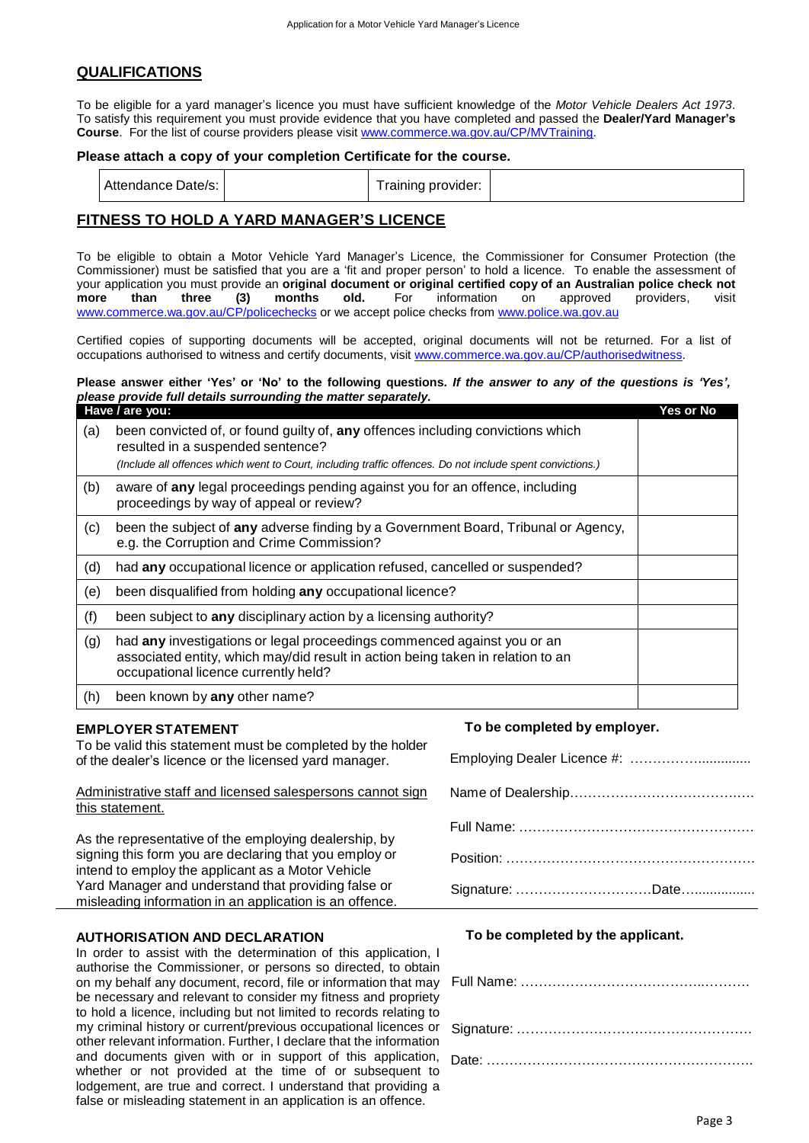### **QUALIFICATIONS**

To be eligible for a yard manager's licence you must have sufficient knowledge of the *Motor Vehicle Dealers Act 1973*. To satisfy this requirement you must provide evidence that you have completed and passed the **Dealer/Yard Manager's Course**. For the list of course providers please visit [www.commerce.wa.gov.au/CP/MVTraining.](http://www.commerce.wa.gov.au/CP/MVTraining)

#### **Please attach a copy of your completion Certificate for the course.**

| Attendance Date/s: |  | provider:<br>alnıng r |  |
|--------------------|--|-----------------------|--|
|--------------------|--|-----------------------|--|

## **FITNESS TO HOLD A YARD MANAGER'S LICENCE**

To be eligible to obtain a Motor Vehicle Yard Manager's Licence, the Commissioner for Consumer Protection (the Commissioner) must be satisfied that you are a 'fit and proper person' to hold a licence. To enable the assessment of your application you must provide an **original document or original certified copy of an Australian police check not more than three (3) months old.** For information on approved providers, visit www.commerce.wa.gov.au/CP/policechecks or we accept police checks from [www.police.wa.gov.au](http://www.police.wa.gov.au/)

Certified copies of supporting documents will be accepted, original documents will not be returned. For a list of occupations authorised to witness and certify documents, visit [www.commerce.wa.gov.au/CP/authorisedwitness.](http://www.commerce.wa.gov.au/CP/authorisedwitness)

#### Please answer either 'Yes' or 'No' to the following questions. If the answer to any of the questions is 'Yes', *please provide full details surrounding the matter separately.*

|     | Have / are you:                                                                                                                                                                                                                   | Yes or No |
|-----|-----------------------------------------------------------------------------------------------------------------------------------------------------------------------------------------------------------------------------------|-----------|
| (a) | been convicted of, or found guilty of, any offences including convictions which<br>resulted in a suspended sentence?<br>(Include all offences which went to Court, including traffic offences. Do not include spent convictions.) |           |
| (b) | aware of any legal proceedings pending against you for an offence, including<br>proceedings by way of appeal or review?                                                                                                           |           |
| (c) | been the subject of any adverse finding by a Government Board, Tribunal or Agency,<br>e.g. the Corruption and Crime Commission?                                                                                                   |           |
| (d) | had any occupational licence or application refused, cancelled or suspended?                                                                                                                                                      |           |
| (e) | been disqualified from holding any occupational licence?                                                                                                                                                                          |           |
| (f) | been subject to any disciplinary action by a licensing authority?                                                                                                                                                                 |           |
| (g) | had any investigations or legal proceedings commenced against you or an<br>associated entity, which may/did result in action being taken in relation to an<br>occupational licence currently held?                                |           |
| (h) | been known by any other name?                                                                                                                                                                                                     |           |

#### **EMPLOYER STATEMENT**

To be valid this statement must be completed by the holder of the dealer's licence or the licensed yard manager.

Administrative staff and licensed salespersons cannot sign this statement.

As the representative of the employing dealership, by signing this form you are declaring that you employ or intend to employ the applicant as a Motor Vehicle Yard Manager and understand that providing false or misleading information in an application is an offence.

#### **AUTHORISATION AND DECLARATION**

In order to assist with the determination of this application, I authorise the Commissioner, or persons so directed, to obtain on my behalf any document, record, file or information that may be necessary and relevant to consider my fitness and propriety to hold a licence, including but not limited to records relating to my criminal history or current/previous occupational licences or other relevant information. Further, I declare that the information and documents given with or in support of this application, whether or not provided at the time of or subsequent to lodgement, are true and correct. I understand that providing a false or misleading statement in an application is an offence.

#### **To be completed by employer.**

| Employing Dealer Licence #: |
|-----------------------------|
|                             |
|                             |
|                             |
|                             |

#### **To be completed by the applicant.**